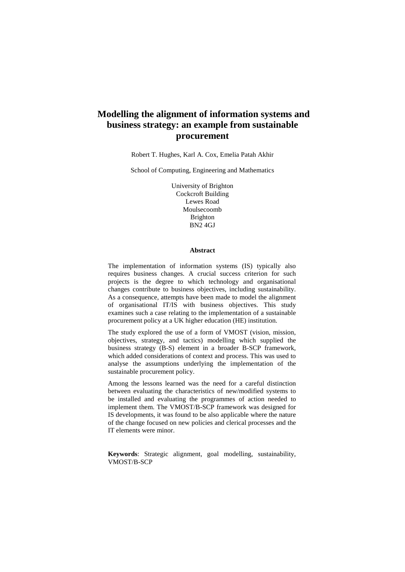# **Modelling the alignment of information systems and business strategy: an example from sustainable procurement**

Robert T. Hughes, Karl A. Cox, Emelia Patah Akhir

School of Computing, Engineering and Mathematics

University of Brighton Cockcroft Building Lewes Road Moulsecoomb Brighton BN2 4GJ

#### **Abstract**

The implementation of information systems (IS) typically also requires business changes. A crucial success criterion for such projects is the degree to which technology and organisational changes contribute to business objectives, including sustainability. As a consequence, attempts have been made to model the alignment of organisational IT/IS with business objectives. This study examines such a case relating to the implementation of a sustainable procurement policy at a UK higher education (HE) institution.

The study explored the use of a form of VMOST (vision, mission, objectives, strategy, and tactics) modelling which supplied the business strategy (B-S) element in a broader B-SCP framework, which added considerations of context and process. This was used to analyse the assumptions underlying the implementation of the sustainable procurement policy.

Among the lessons learned was the need for a careful distinction between evaluating the characteristics of new/modified systems to be installed and evaluating the programmes of action needed to implement them. The VMOST/B-SCP framework was designed for IS developments, it was found to be also applicable where the nature of the change focused on new policies and clerical processes and the IT elements were minor.

**Keywords**: Strategic alignment, goal modelling, sustainability, VMOST/B-SCP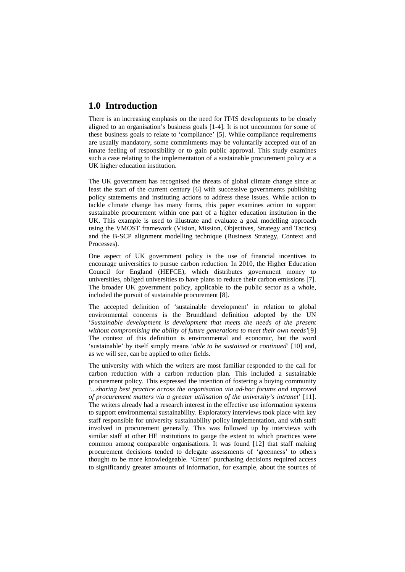# **1.0 Introduction**

There is an increasing emphasis on the need for IT/IS developments to be closely aligned to an organisation's business goals [1-4]. It is not uncommon for some of these business goals to relate to 'compliance' [5]. While compliance requirements are usually mandatory, some commitments may be voluntarily accepted out of an innate feeling of responsibility or to gain public approval. This study examines such a case relating to the implementation of a sustainable procurement policy at a UK higher education institution.

The UK government has recognised the threats of global climate change since at least the start of the current century [6] with successive governments publishing policy statements and instituting actions to address these issues. While action to tackle climate change has many forms, this paper examines action to support sustainable procurement within one part of a higher education institution in the UK. This example is used to illustrate and evaluate a goal modelling approach using the VMOST framework (Vision, Mission, Objectives, Strategy and Tactics) and the B-SCP alignment modelling technique (Business Strategy, Context and Processes).

One aspect of UK government policy is the use of financial incentives to encourage universities to pursue carbon reduction. In 2010, the Higher Education Council for England (HEFCE), which distributes government money to universities, obliged universities to have plans to reduce their carbon emissions [7]. The broader UK government policy, applicable to the public sector as a whole, included the pursuit of sustainable procurement [8].

The accepted definition of 'sustainable development' in relation to global environmental concerns is the Brundtland definition adopted by the UN '*Sustainable development is development that meets the needs of the present without compromising the ability of future generations to meet their own needs'*[9] The context of this definition is environmental and economic, but the word 'sustainable' by itself simply means '*able to be sustained or continued*' [10] and, as we will see, can be applied to other fields.

The university with which the writers are most familiar responded to the call for carbon reduction with a carbon reduction plan. This included a sustainable procurement policy. This expressed the intention of fostering a buying community *'...sharing best practice across the organisation via ad-hoc forums and improved of procurement matters via a greater utilisation of the university's intranet*' [11]. The writers already had a research interest in the effective use information systems to support environmental sustainability. Exploratory interviews took place with key staff responsible for university sustainability policy implementation, and with staff involved in procurement generally. This was followed up by interviews with similar staff at other HE institutions to gauge the extent to which practices were common among comparable organisations. It was found [12] that staff making procurement decisions tended to delegate assessments of 'greenness' to others thought to be more knowledgeable. 'Green' purchasing decisions required access to significantly greater amounts of information, for example, about the sources of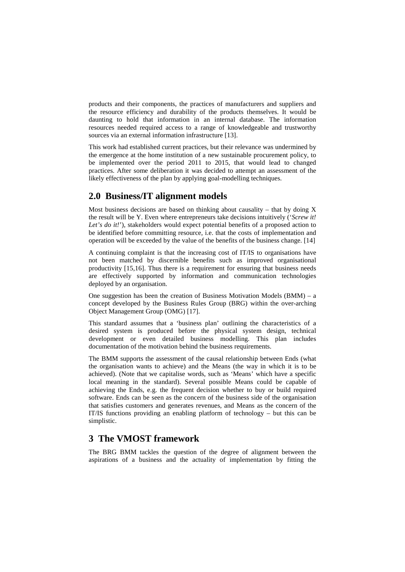products and their components, the practices of manufacturers and suppliers and the resource efficiency and durability of the products themselves. It would be daunting to hold that information in an internal database. The information resources needed required access to a range of knowledgeable and trustworthy sources via an external information infrastructure [13].

This work had established current practices, but their relevance was undermined by the emergence at the home institution of a new sustainable procurement policy, to be implemented over the period 2011 to 2015, that would lead to changed practices. After some deliberation it was decided to attempt an assessment of the likely effectiveness of the plan by applying goal-modelling techniques.

# **2.0 Business/IT alignment models**

Most business decisions are based on thinking about causality – that by doing  $X$ the result will be Y. Even where entrepreneurs take decisions intuitively ('*Screw it! Let's do it!'*), stakeholders would expect potential benefits of a proposed action to be identified before committing resource, i.e. that the costs of implementation and operation will be exceeded by the value of the benefits of the business change. [14]

A continuing complaint is that the increasing cost of IT/IS to organisations have not been matched by discernible benefits such as improved organisational productivity [15,16]. Thus there is a requirement for ensuring that business needs are effectively supported by information and communication technologies deployed by an organisation.

One suggestion has been the creation of Business Motivation Models (BMM) – a concept developed by the Business Rules Group (BRG) within the over-arching Object Management Group (OMG) [17].

This standard assumes that a 'business plan' outlining the characteristics of a desired system is produced before the physical system design, technical development or even detailed business modelling. This plan includes documentation of the motivation behind the business requirements.

The BMM supports the assessment of the causal relationship between Ends (what the organisation wants to achieve) and the Means (the way in which it is to be achieved). (Note that we capitalise words, such as 'Means' which have a specific local meaning in the standard). Several possible Means could be capable of achieving the Ends, e.g. the frequent decision whether to buy or build required software. Ends can be seen as the concern of the business side of the organisation that satisfies customers and generates revenues, and Means as the concern of the IT/IS functions providing an enabling platform of technology – but this can be simplistic.

# **3 The VMOST framework**

The BRG BMM tackles the question of the degree of alignment between the aspirations of a business and the actuality of implementation by fitting the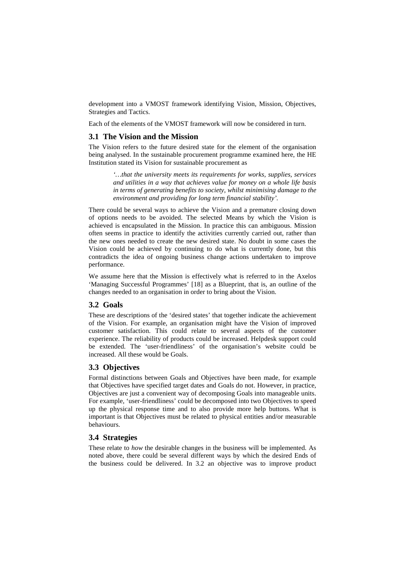development into a VMOST framework identifying Vision, Mission, Objectives, Strategies and Tactics.

Each of the elements of the VMOST framework will now be considered in turn.

## **3.1 The Vision and the Mission**

The Vision refers to the future desired state for the element of the organisation being analysed. In the sustainable procurement programme examined here, the HE Institution stated its Vision for sustainable procurement as

> *'…that the university meets its requirements for works, supplies, services and utilities in a way that achieves value for money on a whole life basis in terms of generating benefits to society, whilst minimising damage to the environment and providing for long term financial stability'.*

There could be several ways to achieve the Vision and a premature closing down of options needs to be avoided. The selected Means by which the Vision is achieved is encapsulated in the Mission. In practice this can ambiguous. Mission often seems in practice to identify the activities currently carried out, rather than the new ones needed to create the new desired state. No doubt in some cases the Vision could be achieved by continuing to do what is currently done, but this contradicts the idea of ongoing business change actions undertaken to improve performance.

We assume here that the Mission is effectively what is referred to in the Axelos 'Managing Successful Programmes' [18] as a Blueprint, that is, an outline of the changes needed to an organisation in order to bring about the Vision.

### **3.2 Goals**

These are descriptions of the 'desired states' that together indicate the achievement of the Vision. For example, an organisation might have the Vision of improved customer satisfaction. This could relate to several aspects of the customer experience. The reliability of products could be increased. Helpdesk support could be extended. The 'user-friendliness' of the organisation's website could be increased. All these would be Goals.

### **3.3 Objectives**

Formal distinctions between Goals and Objectives have been made, for example that Objectives have specified target dates and Goals do not. However, in practice, Objectives are just a convenient way of decomposing Goals into manageable units. For example, 'user-friendliness' could be decomposed into two Objectives to speed up the physical response time and to also provide more help buttons. What is important is that Objectives must be related to physical entities and/or measurable behaviours.

## **3.4 Strategies**

These relate to *how* the desirable changes in the business will be implemented. As noted above, there could be several different ways by which the desired Ends of the business could be delivered. In 3.2 an objective was to improve product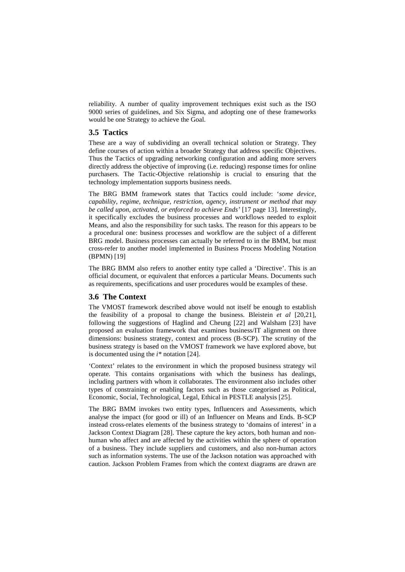reliability. A number of quality improvement techniques exist such as the ISO 9000 series of guidelines, and Six Sigma, and adopting one of these frameworks would be one Strategy to achieve the Goal.

## **3.5 Tactics**

These are a way of subdividing an overall technical solution or Strategy. They define courses of action within a broader Strategy that address specific Objectives. Thus the Tactics of upgrading networking configuration and adding more servers directly address the objective of improving (i.e. reducing) response times for online purchasers. The Tactic-Objective relationship is crucial to ensuring that the technology implementation supports business needs.

The BRG BMM framework states that Tactics could include: '*some device, capability, regime, technique, restriction, agency, instrument or method that may be called upon, activated, or enforced to achieve Ends'* [17 page 13]*.* Interestingly, it specifically excludes the business processes and workflows needed to exploit Means, and also the responsibility for such tasks. The reason for this appears to be a procedural one: business processes and workflow are the subject of a different BRG model. Business processes can actually be referred to in the BMM, but must cross-refer to another model implemented in Business Process Modeling Notation (BPMN) [19]

The BRG BMM also refers to another entity type called a 'Directive'. This is an official document, or equivalent that enforces a particular Means. Documents such as requirements, specifications and user procedures would be examples of these.

## **3.6 The Context**

The VMOST framework described above would not itself be enough to establish the feasibility of a proposal to change the business. Bleistein *et al* [20,21], following the suggestions of Haglind and Cheung [22] and Walsham [23] have proposed an evaluation framework that examines business/IT alignment on three dimensions: business strategy, context and process (B-SCP). The scrutiny of the business strategy is based on the VMOST framework we have explored above, but is documented using the *i\** notation [24].

'Context' relates to the environment in which the proposed business strategy wil operate. This contains organisations with which the business has dealings, including partners with whom it collaborates. The environment also includes other types of constraining or enabling factors such as those categorised as Political, Economic, Social, Technological, Legal, Ethical in PESTLE analysis [25].

The BRG BMM invokes two entity types, Influencers and Assessments, which analyse the impact (for good or ill) of an Influencer on Means and Ends. B-SCP instead cross-relates elements of the business strategy to 'domains of interest' in a Jackson Context Diagram [28]. These capture the key actors, both human and nonhuman who affect and are affected by the activities within the sphere of operation of a business. They include suppliers and customers, and also non-human actors such as information systems. The use of the Jackson notation was approached with caution. Jackson Problem Frames from which the context diagrams are drawn are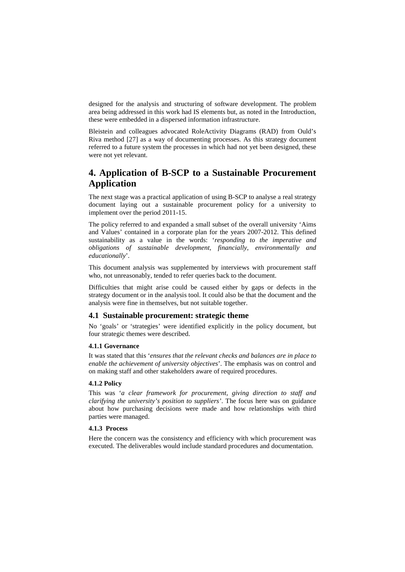designed for the analysis and structuring of software development. The problem area being addressed in this work had IS elements but, as noted in the Introduction, these were embedded in a dispersed information infrastructure.

Bleistein and colleagues advocated RoleActivity Diagrams (RAD) from Ould's Riva method [27] as a way of documenting processes. As this strategy document referred to a future system the processes in which had not yet been designed, these were not yet relevant.

# **4. Application of B-SCP to a Sustainable Procurement Application**

The next stage was a practical application of using B-SCP to analyse a real strategy document laying out a sustainable procurement policy for a university to implement over the period 2011-15.

The policy referred to and expanded a small subset of the overall university 'Aims and Values' contained in a corporate plan for the years 2007-2012. This defined sustainability as a value in the words: '*responding to the imperative and obligations of sustainable development, financially, environmentally and educationally*'.

This document analysis was supplemented by interviews with procurement staff who, not unreasonably, tended to refer queries back to the document.

Difficulties that might arise could be caused either by gaps or defects in the strategy document or in the analysis tool. It could also be that the document and the analysis were fine in themselves, but not suitable together.

### **4.1 Sustainable procurement: strategic theme**

No 'goals' or 'strategies' were identified explicitly in the policy document, but four strategic themes were described.

#### **4.1.1 Governance**

It was stated that this '*ensures that the relevant checks and balances are in place to enable the achievement of university objectives*'. The emphasis was on control and on making staff and other stakeholders aware of required procedures.

#### **4.1.2 Policy**

This was '*a clear framework for procurement, giving direction to staff and clarifying the university's position to suppliers'*. The focus here was on guidance about how purchasing decisions were made and how relationships with third parties were managed.

#### **4.1.3 Process**

Here the concern was the consistency and efficiency with which procurement was executed. The deliverables would include standard procedures and documentation.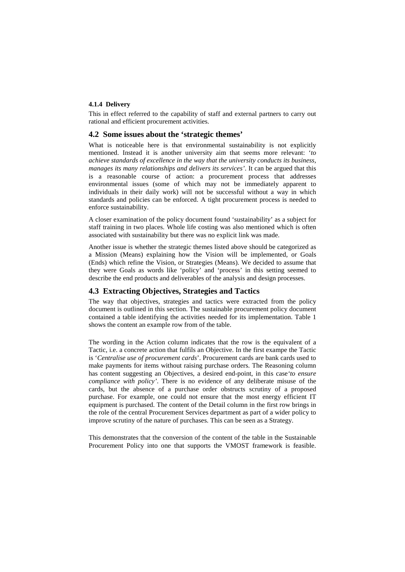#### **4.1.4 Delivery**

This in effect referred to the capability of staff and external partners to carry out rational and efficient procurement activities.

## **4.2 Some issues about the 'strategic themes'**

What is noticeable here is that environmental sustainability is not explicitly mentioned. Instead it is another university aim that seems more relevant: '*to achieve standards of excellence in the way that the university conducts its business, manages its many relationships and delivers its services'*. It can be argued that this is a reasonable course of action: a procurement process that addresses environmental issues (some of which may not be immediately apparent to individuals in their daily work) will not be successful without a way in which standards and policies can be enforced. A tight procurement process is needed to enforce sustainability.

A closer examination of the policy document found 'sustainability' as a subject for staff training in two places. Whole life costing was also mentioned which is often associated with sustainability but there was no explicit link was made.

Another issue is whether the strategic themes listed above should be categorized as a Mission (Means) explaining how the Vision will be implemented, or Goals (Ends) which refine the Vision, or Strategies (Means). We decided to assume that they were Goals as words like 'policy' and 'process' in this setting seemed to describe the end products and deliverables of the analysis and design processes.

### **4.3 Extracting Objectives, Strategies and Tactics**

The way that objectives, strategies and tactics were extracted from the policy document is outlined in this section. The sustainable procurement policy document contained a table identifying the activities needed for its implementation. Table 1 shows the content an example row from of the table.

The wording in the Action column indicates that the row is the equivalent of a Tactic, i.e. a concrete action that fulfils an Objective. In the first exampe the Tactic is '*Centralise use of procurement cards*'. Procurement cards are bank cards used to make payments for items without raising purchase orders. The Reasoning column has content suggesting an Objectives, a desired end-point, in this case*'to ensure compliance with policy'*. There is no evidence of any deliberate misuse of the cards, but the absence of a purchase order obstructs scrutiny of a proposed purchase. For example, one could not ensure that the most energy efficient IT equipment is purchased. The content of the Detail column in the first row brings in the role of the central Procurement Services department as part of a wider policy to improve scrutiny of the nature of purchases. This can be seen as a Strategy.

This demonstrates that the conversion of the content of the table in the Sustainable Procurement Policy into one that supports the VMOST framework is feasible.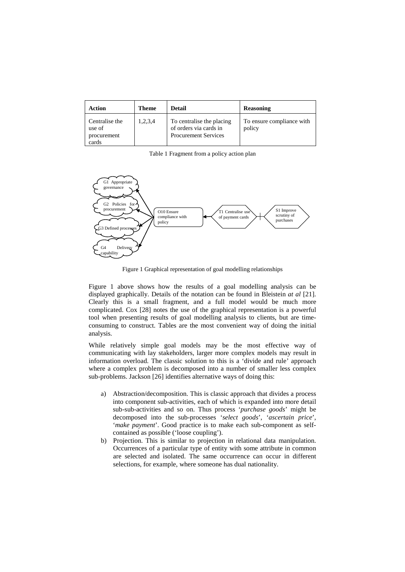| Action                                           | Theme   | <b>Detail</b>                                                                      | <b>Reasoning</b>                    |
|--------------------------------------------------|---------|------------------------------------------------------------------------------------|-------------------------------------|
| Centralise the<br>use of<br>procurement<br>cards | 1,2,3,4 | To centralise the placing<br>of orders via cards in<br><b>Procurement Services</b> | To ensure compliance with<br>policy |

Table 1 Fragment from a policy action plan



Figure 1 Graphical representation of goal modelling relationships

Figure 1 above shows how the results of a goal modelling analysis can be displayed graphically. Details of the notation can be found in Bleistein *at al* [21]. Clearly this is a small fragment, and a full model would be much more complicated. Cox [28] notes the use of the graphical representation is a powerful tool when presenting results of goal modelling analysis to clients, but are timeconsuming to construct. Tables are the most convenient way of doing the initial analysis.

While relatively simple goal models may be the most effective way of communicating with lay stakeholders, larger more complex models may result in information overload. The classic solution to this is a 'divide and rule' approach where a complex problem is decomposed into a number of smaller less complex sub-problems. Jackson [26] identifies alternative ways of doing this:

- a) Abstraction/decomposition. This is classic approach that divides a process into component sub-activities, each of which is expanded into more detail sub-sub-activities and so on. Thus process '*purchase goods*' might be decomposed into the sub-processes '*select goods*', '*ascertain price*', '*make payment*'. Good practice is to make each sub-component as selfcontained as possible ('loose coupling').
- b) Projection. This is similar to projection in relational data manipulation. Occurrences of a particular type of entity with some attribute in common are selected and isolated. The same occurrence can occur in different selections, for example, where someone has dual nationality.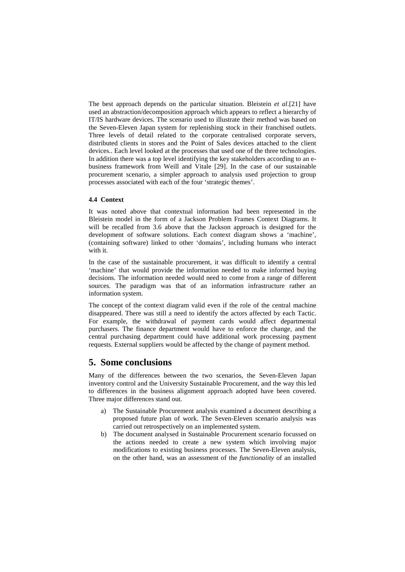The best approach depends on the particular situation. Bleistein *et al*.[21] have used an abstraction/decomposition approach which appears to reflect a hierarchy of IT/IS hardware devices. The scenario used to illustrate their method was based on the Seven-Eleven Japan system for replenishing stock in their franchised outlets. Three levels of detail related to the corporate centralised corporate servers, distributed clients in stores and the Point of Sales devices attached to the client devices.. Each level looked at the processes that used one of the three technologies. In addition there was a top level identifying the key stakeholders according to an ebusiness framework from Weill and Vitale [29]. In the case of our sustainable procurement scenario, a simpler approach to analysis used projection to group processes associated with each of the four 'strategic themes'.

#### **4.4 Context**

It was noted above that contextual information had been represented in the Bleistein model in the form of a Jackson Problem Frames Context Diagrams. It will be recalled from 3.6 above that the Jackson approach is designed for the development of software solutions. Each context diagram shows a 'machine', (containing software) linked to other 'domains', including humans who interact with it.

In the case of the sustainable procurement, it was difficult to identify a central 'machine' that would provide the information needed to make informed buying decisions. The information needed would need to come from a range of different sources. The paradigm was that of an information infrastructure rather an information system.

The concept of the context diagram valid even if the role of the central machine disappeared. There was still a need to identify the actors affected by each Tactic. For example, the withdrawal of payment cards would affect departmental purchasers. The finance department would have to enforce the change, and the central purchasing department could have additional work processing payment requests. External suppliers would be affected by the change of payment method.

# **5. Some conclusions**

Many of the differences between the two scenarios, the Seven-Eleven Japan inventory control and the University Sustainable Procurement, and the way this led to differences in the business alignment approach adopted have been covered. Three major differences stand out.

- a) The Sustainable Procurement analysis examined a document describing a proposed future plan of work. The Seven-Eleven scenario analysis was carried out retrospectively on an implemented system.
- b) The document analysed in Sustainable Procurement scenario focussed on the actions needed to create a new system which involving major modifications to existing business processes. The Seven-Eleven analysis, on the other hand, was an assessment of the *functionality* of an installed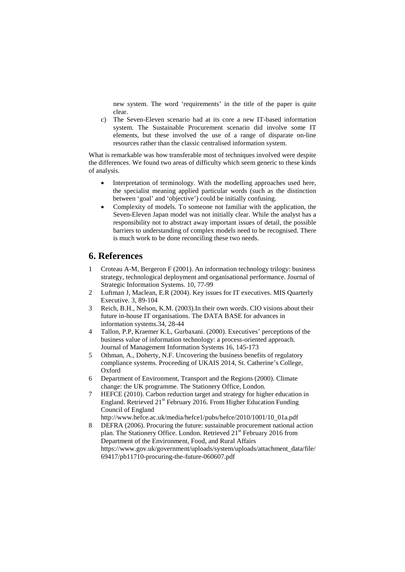new system. The word 'requirements' in the title of the paper is quite clear.

c) The Seven-Eleven scenario had at its core a new IT-based information system. The Sustainable Procurement scenario did involve some IT elements, but these involved the use of a range of disparate on-line resources rather than the classic centralised information system.

What is remarkable was how transferable most of techniques involved were despite the differences. We found two areas of difficulty which seem generic to these kinds of analysis.

- Interpretation of terminology. With the modelling approaches used here, the specialist meaning applied particular words (such as the distinction between 'goal' and 'objective') could be initially confusing.
- Complexity of models. To someone not familiar with the application, the Seven-Eleven Japan model was not initially clear. While the analyst has a responsibility not to abstract away important issues of detail, the possible barriers to understanding of complex models need to be recognised. There is much work to be done reconciling these two needs.

# **6. References**

- 1 Croteau A-M, Bergeron F (2001). An information technology trilogy: business strategy, technological deployment and organisational performance. Journal of Strategic Information Systems. 10, 77-99
- 2 Luftman J, Maclean, E.R (2004). Key issues for IT executives. MIS Quarterly Executive. 3, 89-104
- 3 Reich, B.H., Nelson, K.M. (2003).In their own words. CIO visions about their future in-house IT organisations. The DATA BASE for advances in information systems.34, 28-44
- 4 Tallon, P.P, Kraemer K.L, Gurbaxani. (2000). Executives' perceptions of the business value of information technology: a process-oriented approach. Journal of Management Information Systems 16, 145-173
- 5 Othman, A., Doherty, N.F. Uncovering the business benefits of regulatory compliance systems. Proceeding of UKAIS 2014, St. Catherine's College, Oxford
- 6 Department of Environment, Transport and the Regions (2000). Climate change: the UK programme. The Stationery Office, London.
- 7 HEFCE (2010). Carbon reduction target and strategy for higher education in England. Retrieved  $21<sup>st</sup>$  February 2016. From Higher Education Funding Council of England
- [http://www.hefce.ac.uk/media/hefce1/pubs/hefce/2010/1001/10\\_01a.pdf](http://www.hefce.ac.uk/media/hefce1/pubs/hefce/2010/1001/10_01a.pdf) 8 DEFRA (2006). Procuring the future: sustainable procurement national action plan. The Stationery Office. London. Retrieved 21<sup>st</sup> February 2016 from Department of the Environment, Food, and Rural Affairs [https://www.gov.uk/government/uploads/system/uploads/attachment\\_data/file/](https://www.gov.uk/government/uploads/system/uploads/attachment_data/file/69417/pb11710-procuring-the-future-060607.pdf) [69417/pb11710-procuring-the-future-060607.pdf](https://www.gov.uk/government/uploads/system/uploads/attachment_data/file/69417/pb11710-procuring-the-future-060607.pdf)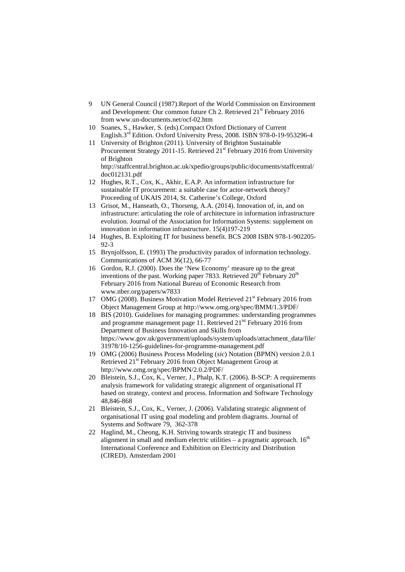- 9 UN General Council (1987).Report of the World Commission on Environment and Development: Our common future Ch 2. Retrieved 21<sup>st</sup> February 2016 from [www.un-documents.net/ocf-02.htm](http://www.un-documents.net/ocf-02.htm)
- 10 Soanes, S., Hawker, S. (eds).Compact Oxford Dictionary of Current English.3rd Edition. Oxford University Press, 2008. ISBN 978-0-19-953296-4
- 11 University of Brighton (2011). University of Brighton Sustainable Procurement Strategy 2011-15. Retrieved  $21<sup>st</sup>$  February 2016 from University of Brighton [http://staffcentral.brighton.ac.uk/xpedio/groups/public/documents/staffcentral/](http://staffcentral.brighton.ac.uk/xpedio/groups/public/documents/staffcentral/doc012131.pdf) [doc012131.pdf](http://staffcentral.brighton.ac.uk/xpedio/groups/public/documents/staffcentral/doc012131.pdf)
- 12 Hughes, R.T., Cox, K., Akhir, E.A.P. An information infrastructure for sustainable IT procurement: a suitable case for actor-network theory? Proceeding of UKAIS 2014, St. Catherine's College, Oxford
- 13 Grisot, M., Hanseath, O., Thorseng, A.A. (2014). Innovation of, in, and on infrastructure: articulating the role of architecture in information infrastructure evolution. Journal of the Association for Information Systems: supplement on innovation in information infrastructure. 15(4)197-219
- 14 Hughes, B. Exploiting IT for business benefit. BCS 2008 ISBN 978-1-902205-  $92-3$
- 15 Brynjolfsson, E. (1993) The productivity paradox of information technology. Communications of ACM 36(12), 66-77
- 16 Gordon, R.J. (2000). Does the 'New Economy' measure up to the great inventions of the past. Working paper 7833. Retrieved  $20<sup>th</sup>$  February  $20<sup>th</sup>$ February 2016 from National Bureau of Economic Research from [www.nber.org/papers/w7833](http://www.nber.org/papers/w7833)
- 17 OMG (2008). Business Motivation Model Retrieved 21<sup>st</sup> February 2016 from Object Management Group at<http://www.omg.org/spec/BMM/1.3/PDF/>
- 18 BIS (2010). Guidelines for managing programmes: understanding programmes and programme management page 11. Retrieved  $21<sup>tst</sup>$  February 2016 from Department of Business Innovation and Skills from [https://www.gov.uk/government/uploads/system/uploads/attachment\\_data/file/](https://www.gov.uk/government/uploads/system/uploads/attachment_data/file/31978/10-1256-guidelines-for-programme-management.pdf) [31978/10-1256-guidelines-for-programme-management.pdf](https://www.gov.uk/government/uploads/system/uploads/attachment_data/file/31978/10-1256-guidelines-for-programme-management.pdf)
- 19 OMG (2006) Business Process Modeling (*sic*) Notation (BPMN) version 2.0.1 Retrieved 21<sup>st</sup> February 2016 from Object Management Group at http://www.omg.org/spec/BPMN/2.0.2/PDF/
- 20 Bleistein, S.J., Cox, K., Verner, J., Phalp, K.T. (2006). B-SCP: A requirements analysis framework for validating strategic alignment of organisational IT based on strategy, context and process. Information and Software Technology 48,846-868
- 21 Bleistein, S.J., Cox, K., Verner, J. (2006). Validating strategic alignment of organisational IT using goal modeling and problem diagrams. Journal of Systems and Software 79, 362-378
- 22 Haglind, M., Cheong, K.H. Striving towards strategic IT and business alignment in small and medium electric utilities  $-$  a pragmatic approach.  $16<sup>th</sup>$ International Conference and Exhibition on Electricity and Distribution (CIRED). Amsterdam 2001